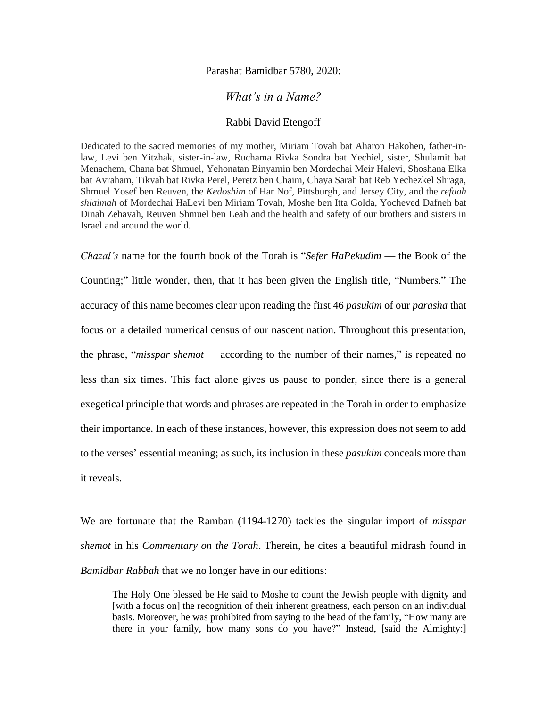## Parashat Bamidbar 5780, 2020:

## *What's in a Name?*

## Rabbi David Etengoff

Dedicated to the sacred memories of my mother, Miriam Tovah bat Aharon Hakohen, father-inlaw, Levi ben Yitzhak, sister-in-law, Ruchama Rivka Sondra bat Yechiel, sister, Shulamit bat Menachem, Chana bat Shmuel, Yehonatan Binyamin ben Mordechai Meir Halevi, Shoshana Elka bat Avraham, Tikvah bat Rivka Perel, Peretz ben Chaim, Chaya Sarah bat Reb Yechezkel Shraga, Shmuel Yosef ben Reuven, the *Kedoshim* of Har Nof, Pittsburgh, and Jersey City, and the *refuah shlaimah* of Mordechai HaLevi ben Miriam Tovah, Moshe ben Itta Golda, Yocheved Dafneh bat Dinah Zehavah, Reuven Shmuel ben Leah and the health and safety of our brothers and sisters in Israel and around the world.

*Chazal's* name for the fourth book of the Torah is "*Sefer HaPekudim* — the Book of the Counting;" little wonder, then, that it has been given the English title, "Numbers." The accuracy of this name becomes clear upon reading the first 46 *pasukim* of our *parasha* that focus on a detailed numerical census of our nascent nation. Throughout this presentation, the phrase, "*misspar shemot —* according to the number of their names," is repeated no less than six times. This fact alone gives us pause to ponder, since there is a general exegetical principle that words and phrases are repeated in the Torah in order to emphasize their importance. In each of these instances, however, this expression does not seem to add to the verses' essential meaning; as such, its inclusion in these *pasukim* conceals more than it reveals.

We are fortunate that the Ramban (1194-1270) tackles the singular import of *misspar shemot* in his *Commentary on the Torah*. Therein, he cites a beautiful midrash found in *Bamidbar Rabbah* that we no longer have in our editions:

The Holy One blessed be He said to Moshe to count the Jewish people with dignity and [with a focus on] the recognition of their inherent greatness, each person on an individual basis. Moreover, he was prohibited from saying to the head of the family, "How many are there in your family, how many sons do you have?" Instead, [said the Almighty:]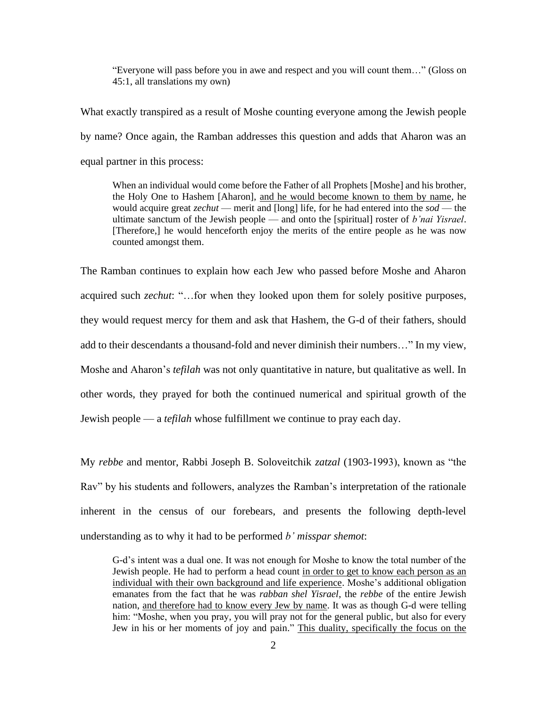"Everyone will pass before you in awe and respect and you will count them…" (Gloss on 45:1, all translations my own)

What exactly transpired as a result of Moshe counting everyone among the Jewish people by name? Once again, the Ramban addresses this question and adds that Aharon was an equal partner in this process:

When an individual would come before the Father of all Prophets [Moshe] and his brother, the Holy One to Hashem [Aharon], and he would become known to them by name, he would acquire great *zechut* — merit and [long] life, for he had entered into the *sod* — the ultimate sanctum of the Jewish people — and onto the [spiritual] roster of *b'nai Yisrael*. [Therefore,] he would henceforth enjoy the merits of the entire people as he was now counted amongst them.

The Ramban continues to explain how each Jew who passed before Moshe and Aharon acquired such *zechut*: "…for when they looked upon them for solely positive purposes, they would request mercy for them and ask that Hashem, the G-d of their fathers, should add to their descendants a thousand-fold and never diminish their numbers…" In my view, Moshe and Aharon's *tefilah* was not only quantitative in nature, but qualitative as well. In other words, they prayed for both the continued numerical and spiritual growth of the Jewish people — a *tefilah* whose fulfillment we continue to pray each day.

My *rebbe* and mentor, Rabbi Joseph B. Soloveitchik *zatzal* (1903-1993), known as "the Rav" by his students and followers, analyzes the Ramban's interpretation of the rationale inherent in the census of our forebears, and presents the following depth-level understanding as to why it had to be performed *b' misspar shemot*:

G-d's intent was a dual one. It was not enough for Moshe to know the total number of the Jewish people. He had to perform a head count in order to get to know each person as an individual with their own background and life experience. Moshe's additional obligation emanates from the fact that he was *rabban shel Yisrael*, the *rebbe* of the entire Jewish nation, and therefore had to know every Jew by name. It was as though G-d were telling him: "Moshe, when you pray, you will pray not for the general public, but also for every Jew in his or her moments of joy and pain." This duality, specifically the focus on the